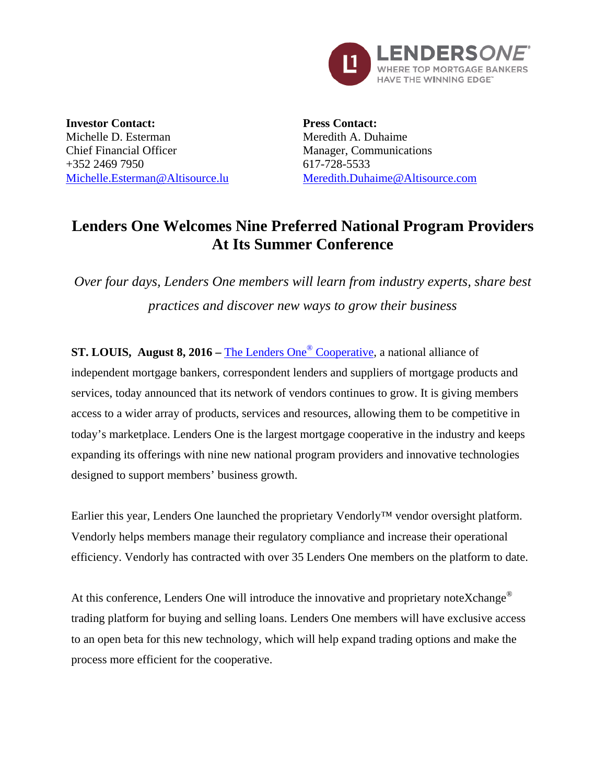

**Investor Contact:** Michelle D. Esterman Chief Financial Officer +352 2469 7950 [Michelle.Esterman@Altisource.lu](mailto:Michelle.Esterman@Altisource.lu) **Press Contact:** Meredith A. Duhaime Manager, Communications 617-728-5533 [Meredith.Duhaime@Altisource.com](mailto:meredith.duhaime@altisource.com)

## **Lenders One Welcomes Nine Preferred National Program Providers At Its Summer Conference**

*Over four days, Lenders One members will learn from industry experts, share best practices and discover new ways to grow their business* 

**ST. LOUIS, August 8, 2016 –** [The Lenders One](http://lendersone.com/?utm_campaign=L1SummerConference&utm_source=PR&utm_medium=PR&utm_content=first)® Cooperative, a national alliance of independent mortgage bankers, correspondent lenders and suppliers of mortgage products and services, today announced that its network of vendors continues to grow. It is giving members access to a wider array of products, services and resources, allowing them to be competitive in today's marketplace. Lenders One is the largest mortgage cooperative in the industry and keeps expanding its offerings with nine new national program providers and innovative technologies designed to support members' business growth.

Earlier this year, Lenders One launched the proprietary Vendorly™ vendor oversight platform. Vendorly helps members manage their regulatory compliance and increase their operational efficiency. Vendorly has contracted with over 35 Lenders One members on the platform to date.

At this conference, Lenders One will introduce the innovative and proprietary noteXchange<sup>®</sup> trading platform for buying and selling loans. Lenders One members will have exclusive access to an open beta for this new technology, which will help expand trading options and make the process more efficient for the cooperative.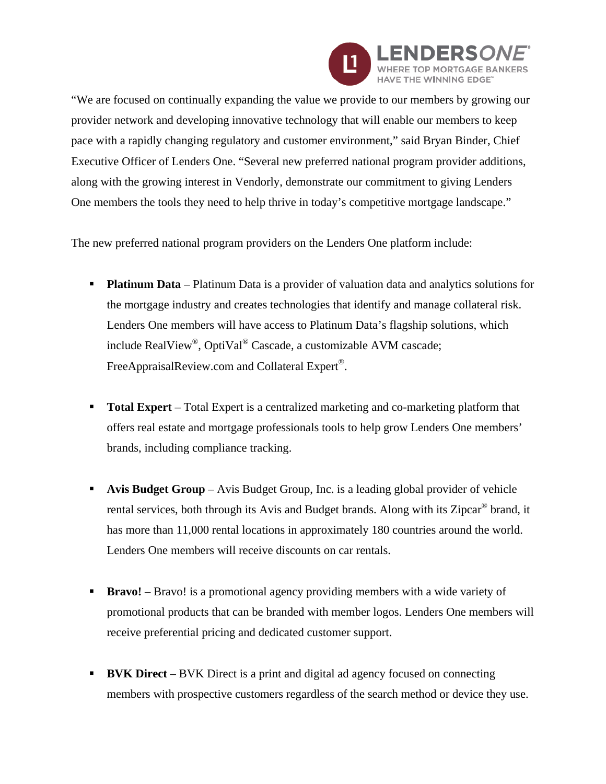

"We are focused on continually expanding the value we provide to our members by growing our provider network and developing innovative technology that will enable our members to keep pace with a rapidly changing regulatory and customer environment," said Bryan Binder, Chief Executive Officer of Lenders One. "Several new preferred national program provider additions, along with the growing interest in Vendorly, demonstrate our commitment to giving Lenders One members the tools they need to help thrive in today's competitive mortgage landscape."

The new preferred national program providers on the Lenders One platform include:

- **Platinum Data** Platinum Data is a provider of valuation data and analytics solutions for the mortgage industry and creates technologies that identify and manage collateral risk. Lenders One members will have access to Platinum Data's flagship solutions, which include RealView®, OptiVal® Cascade, a customizable AVM cascade; FreeAppraisalReview.com and Collateral Expert<sup>®</sup>.
- **Total Expert** Total Expert is a centralized marketing and co-marketing platform that offers real estate and mortgage professionals tools to help grow Lenders One members' brands, including compliance tracking.
- **Avis Budget Group** Avis Budget Group, Inc. is a leading global provider of vehicle rental services, both through its Avis and Budget brands. Along with its Zipcar® brand, it has more than 11,000 rental locations in approximately 180 countries around the world. Lenders One members will receive discounts on car rentals.
- **Bravo!** Bravo! is a promotional agency providing members with a wide variety of promotional products that can be branded with member logos. Lenders One members will receive preferential pricing and dedicated customer support.
- **BVK Direct** BVK Direct is a print and digital ad agency focused on connecting members with prospective customers regardless of the search method or device they use.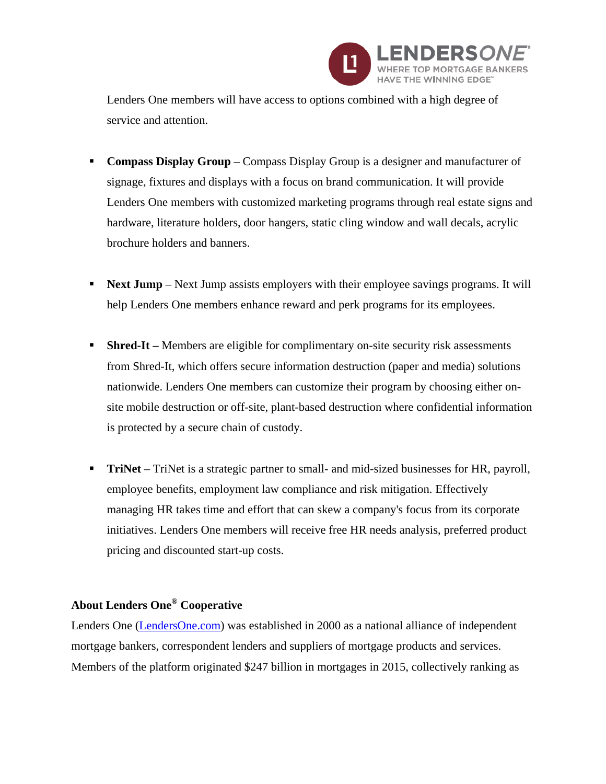

Lenders One members will have access to options combined with a high degree of service and attention.

- **Compass Display Group** Compass Display Group is a designer and manufacturer of signage, fixtures and displays with a focus on brand communication. It will provide Lenders One members with customized marketing programs through real estate signs and hardware, literature holders, door hangers, static cling window and wall decals, acrylic brochure holders and banners.
- **Next Jump** Next Jump assists employers with their employee savings programs. It will help Lenders One members enhance reward and perk programs for its employees.
- **Shred-It** Members are eligible for complimentary on-site security risk assessments from Shred-It, which offers secure information destruction (paper and media) solutions nationwide. Lenders One members can customize their program by choosing either onsite mobile destruction or off-site, plant-based destruction where confidential information is protected by a secure chain of custody.
- **TriNet** TriNet is a strategic partner to small- and mid-sized businesses for HR, payroll, employee benefits, employment law compliance and risk mitigation. Effectively managing HR takes time and effort that can skew a company's focus from its corporate initiatives. Lenders One members will receive free HR needs analysis, preferred product pricing and discounted start-up costs.

## **About Lenders One® Cooperative**

Lenders One [\(LendersOne.com\)](http://www.lendersone.com/?utm_campaign=L1SummerConference&utm_source=PR&utm_medium=PR&utm_content=boilerplate) was established in 2000 as a national alliance of independent mortgage bankers, correspondent lenders and suppliers of mortgage products and services. Members of the platform originated \$247 billion in mortgages in 2015, collectively ranking as